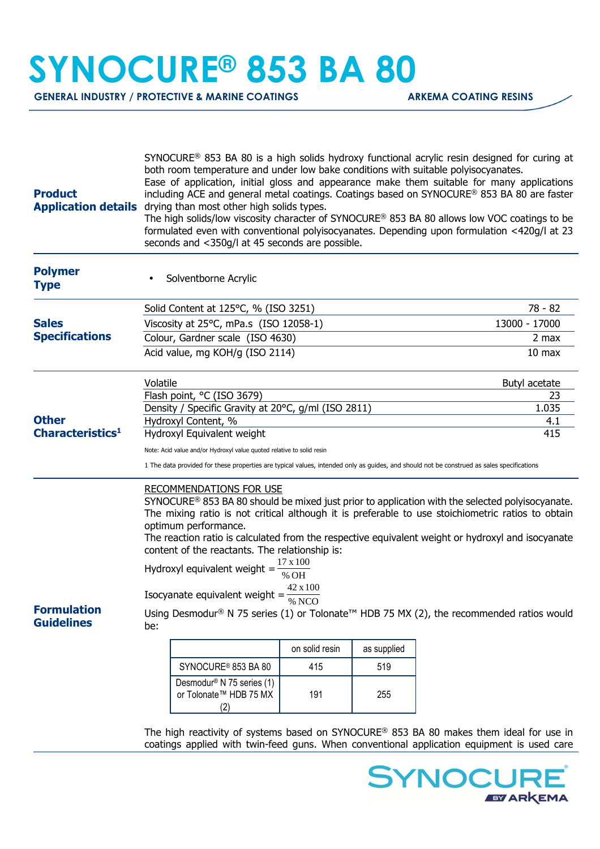## **SYNOCURE® 853 BA 80**

**GENERAL INDUSTRY / PROTECTIVE & MARINE COATINGS ARKEMA COATING RESINS** 

| <b>Product</b><br><b>Application details</b> | SYNOCURE <sup>®</sup> 853 BA 80 is a high solids hydroxy functional acrylic resin designed for curing at<br>both room temperature and under low bake conditions with suitable polyisocyanates.<br>Ease of application, initial gloss and appearance make them suitable for many applications<br>including ACE and general metal coatings. Coatings based on SYNOCURE® 853 BA 80 are faster<br>drying than most other high solids types.<br>The high solids/low viscosity character of SYNOCURE® 853 BA 80 allows low VOC coatings to be<br>formulated even with conventional polyisocyanates. Depending upon formulation <420g/l at 23<br>seconds and <350g/l at 45 seconds are possible. |                                                                        |                   |             |               |
|----------------------------------------------|-------------------------------------------------------------------------------------------------------------------------------------------------------------------------------------------------------------------------------------------------------------------------------------------------------------------------------------------------------------------------------------------------------------------------------------------------------------------------------------------------------------------------------------------------------------------------------------------------------------------------------------------------------------------------------------------|------------------------------------------------------------------------|-------------------|-------------|---------------|
| <b>Polymer</b><br><b>Type</b>                |                                                                                                                                                                                                                                                                                                                                                                                                                                                                                                                                                                                                                                                                                           | Solventborne Acrylic                                                   |                   |             |               |
| <b>Sales</b><br><b>Specifications</b>        | Solid Content at 125°C, % (ISO 3251)                                                                                                                                                                                                                                                                                                                                                                                                                                                                                                                                                                                                                                                      |                                                                        |                   |             | 78 - 82       |
|                                              | Viscosity at 25°C, mPa.s (ISO 12058-1)                                                                                                                                                                                                                                                                                                                                                                                                                                                                                                                                                                                                                                                    |                                                                        |                   |             | 13000 - 17000 |
|                                              | Colour, Gardner scale (ISO 4630)                                                                                                                                                                                                                                                                                                                                                                                                                                                                                                                                                                                                                                                          |                                                                        |                   |             | 2 max         |
|                                              |                                                                                                                                                                                                                                                                                                                                                                                                                                                                                                                                                                                                                                                                                           | Acid value, mg KOH/g (ISO 2114)                                        | 10 <sub>max</sub> |             |               |
| <b>Other</b><br>Characteristics <sup>1</sup> | Volatile                                                                                                                                                                                                                                                                                                                                                                                                                                                                                                                                                                                                                                                                                  |                                                                        |                   |             | Butyl acetate |
|                                              | Flash point, °C (ISO 3679)                                                                                                                                                                                                                                                                                                                                                                                                                                                                                                                                                                                                                                                                |                                                                        |                   |             | 23            |
|                                              |                                                                                                                                                                                                                                                                                                                                                                                                                                                                                                                                                                                                                                                                                           | Density / Specific Gravity at 20°C, g/ml (ISO 2811)                    | 1.035             |             |               |
|                                              | Hydroxyl Content, %<br>4.1<br>Hydroxyl Equivalent weight<br>415                                                                                                                                                                                                                                                                                                                                                                                                                                                                                                                                                                                                                           |                                                                        |                   |             |               |
|                                              |                                                                                                                                                                                                                                                                                                                                                                                                                                                                                                                                                                                                                                                                                           |                                                                        |                   |             |               |
|                                              | Note: Acid value and/or Hydroxyl value quoted relative to solid resin                                                                                                                                                                                                                                                                                                                                                                                                                                                                                                                                                                                                                     |                                                                        |                   |             |               |
|                                              | 1 The data provided for these properties are typical values, intended only as guides, and should not be construed as sales specifications                                                                                                                                                                                                                                                                                                                                                                                                                                                                                                                                                 |                                                                        |                   |             |               |
|                                              | <b>RECOMMENDATIONS FOR USE</b><br>SYNOCURE <sup>®</sup> 853 BA 80 should be mixed just prior to application with the selected polyisocyanate.<br>The mixing ratio is not critical although it is preferable to use stoichiometric ratios to obtain<br>optimum performance.<br>The reaction ratio is calculated from the respective equivalent weight or hydroxyl and isocyanate<br>content of the reactants. The relationship is:<br>17 x 100                                                                                                                                                                                                                                             |                                                                        |                   |             |               |
|                                              | Hydroxyl equivalent weight =<br>% OH                                                                                                                                                                                                                                                                                                                                                                                                                                                                                                                                                                                                                                                      |                                                                        |                   |             |               |
|                                              | 42 x 100<br>Isocyanate equivalent weight = $\frac{1}{\%}$ NCO                                                                                                                                                                                                                                                                                                                                                                                                                                                                                                                                                                                                                             |                                                                        |                   |             |               |
| <b>Formulation</b><br><b>Guidelines</b>      | Using Desmodur® N 75 series (1) or Tolonate™ HDB 75 MX (2), the recommended ratios would<br>be:                                                                                                                                                                                                                                                                                                                                                                                                                                                                                                                                                                                           |                                                                        |                   |             |               |
|                                              |                                                                                                                                                                                                                                                                                                                                                                                                                                                                                                                                                                                                                                                                                           |                                                                        | on solid resin    | as supplied |               |
|                                              |                                                                                                                                                                                                                                                                                                                                                                                                                                                                                                                                                                                                                                                                                           | SYNOCURE <sup>®</sup> 853 BA 80                                        | 415               | 519         |               |
|                                              |                                                                                                                                                                                                                                                                                                                                                                                                                                                                                                                                                                                                                                                                                           | Desmodur <sup>®</sup> N 75 series (1)<br>or Tolonate™ HDB 75 MX<br>(2) | 191               | 255         |               |

The high reactivity of systems based on SYNOCURE® 853 BA 80 makes them ideal for use in coatings applied with twin-feed guns. When conventional application equipment is used care